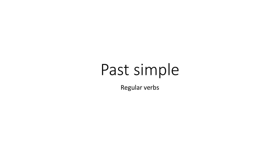## Past simple

Regular verbs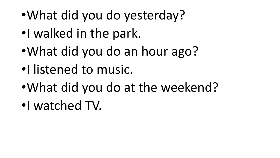- •What did you do yesterday?
- •I walked in the park.
- •What did you do an hour ago?
- •I listened to music.
- •What did you do at the weekend?
- •I watched TV.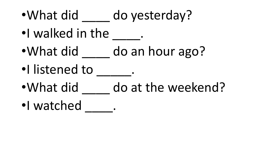- •What did do yesterday?
- •I walked in the
- •What did do an hour ago?
- •I listened to \_\_\_\_\_.
- •What did do at the weekend?
- •I watched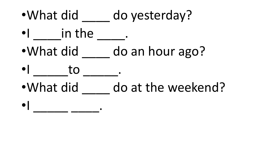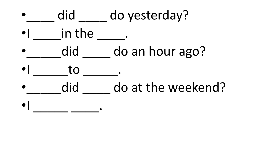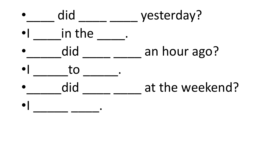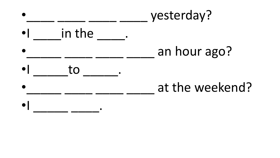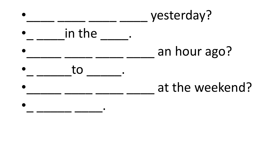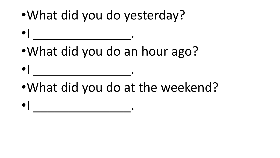•What did you do yesterday?

•What did you do an hour ago?

- •What did you do at the weekend?
- $\bullet$   $\begin{array}{ccc} & & \bullet & \bullet & \bullet \end{array}$

 $\bullet$   $\begin{array}{ccc} & & & \bullet & \bullet & \bullet \ \end{array}$ 

 $\bullet$   $\begin{array}{ccc} & & \bullet & \bullet & \bullet \end{array}$